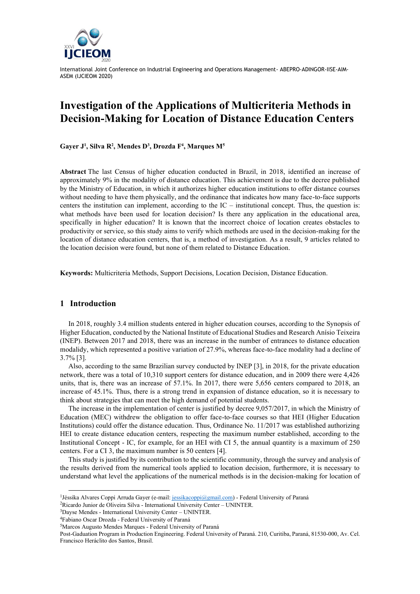

# **Investigation of the Applications of Multicriteria Methods in Decision-Making for Location of Distance Education Centers**

**Gayer J<sup>1</sup> , Silva R<sup>2</sup> , Mendes D<sup>3</sup> , Drozda F<sup>4</sup> , Marques M<sup>5</sup>**

**Abstract** The last Census of higher education conducted in Brazil, in 2018, identified an increase of approximately 9% in the modality of distance education. This achievement is due to the decree published by the Ministry of Education, in which it authorizes higher education institutions to offer distance courses without needing to have them physically, and the ordinance that indicates how many face-to-face supports centers the institution can implement, according to the  $IC$  – institutional concept. Thus, the question is: what methods have been used for location decision? Is there any application in the educational area, specifically in higher education? It is known that the incorrect choice of location creates obstacles to productivity or service, so this study aims to verify which methods are used in the decision-making for the location of distance education centers, that is, a method of investigation. As a result, 9 articles related to the location decision were found, but none of them related to Distance Education.

**Keywords:** Multicriteria Methods, Support Decisions, Location Decision, Distance Education.

## **1 Introduction**

In 2018, roughly 3.4 million students entered in higher education courses, according to the Synopsis of Higher Education, conducted by the National Institute of Educational Studies and Research Anísio Teixeira (INEP). Between 2017 and 2018, there was an increase in the number of entrances to distance education modalidy, which represented a positive variation of 27.9%, whereas face-to-face modality had a decline of 3.7% [3].

Also, according to the same Brazilian survey conducted by INEP [3], in 2018, for the private education network, there was a total of 10,310 support centers for distance education, and in 2009 there were 4,426 units, that is, there was an increase of 57.1%. In 2017, there were 5,656 centers compared to 2018, an increase of 45.1%. Thus, there is a strong trend in expansion of distance education, so it is necessary to think about strategies that can meet the high demand of potential students.

The increase in the implementation of center is justified by decree 9,057/2017, in which the Ministry of Education (MEC) withdrew the obligation to offer face-to-face courses so that HEI (Higher Education Institutions) could offer the distance education. Thus, Ordinance No. 11/2017 was established authorizing HEI to create distance education centers, respecting the maximum number established, according to the Institutional Concept - IC, for example, for an HEI with CI 5, the annual quantity is a maximum of 250 centers. For a CI 3, the maximum number is 50 centers [4].

This study is justified by its contribution to the scientific community, through the survey and analysis of the results derived from the numerical tools applied to location decision, furthermore, it is necessary to understand what level the applications of the numerical methods is in the decision-making for location of

<sup>&</sup>lt;sup>1</sup> Jéssika Alvares Coppi Arruda Gayer (e-mail: [jessikacoppi@gmail.com\)](mailto:jessikacoppi@gmail.com) - Federal University of Paraná

<sup>2</sup>Ricardo Junior de Oliveira Silva - International University Center – UNINTER.

<sup>3</sup>Dayse Mendes - International University Center – UNINTER.

<sup>4</sup>Fabiano Oscar Drozda - Federal University of Paraná

<sup>5</sup>Marcos Augusto Mendes Marques - Federal University of Paraná

Post-Gaduation Program in Production Engineering. Federal University of Paraná. 210, Curitiba, Paraná, 81530-000, Av. Cel. Francisco Heráclito dos Santos, Brasil.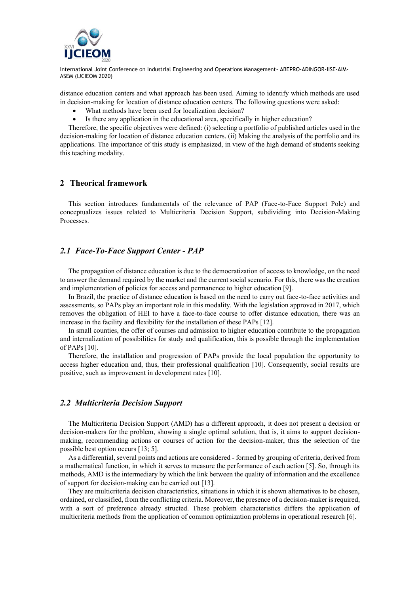

distance education centers and what approach has been used. Aiming to identify which methods are used in decision-making for location of distance education centers. The following questions were asked:

- What methods have been used for localization decision?
- Is there any application in the educational area, specifically in higher education?

Therefore, the specific objectives were defined: (i) selecting a portfolio of published articles used in the decision-making for location of distance education centers. (ii) Making the analysis of the portfolio and its applications. The importance of this study is emphasized, in view of the high demand of students seeking this teaching modality.

#### **2 Theorical framework**

This section introduces fundamentals of the relevance of PAP (Face-to-Face Support Pole) and conceptualizes issues related to Multicriteria Decision Support, subdividing into Decision-Making Processes.

## *2.1 Face-To-Face Support Center - PAP*

The propagation of distance education is due to the democratization of access to knowledge, on the need to answer the demand required by the market and the current social scenario. For this, there was the creation and implementation of policies for access and permanence to higher education [9].

In Brazil, the practice of distance education is based on the need to carry out face-to-face activities and assessments, so PAPs play an important role in this modality. With the legislation approved in 2017, which removes the obligation of HEI to have a face-to-face course to offer distance education, there was an increase in the facility and flexibility for the installation of these PAPs [12].

In small counties, the offer of courses and admission to higher education contribute to the propagation and internalization of possibilities for study and qualification, this is possible through the implementation of PAPs [10].

Therefore, the installation and progression of PAPs provide the local population the opportunity to access higher education and, thus, their professional qualification [10]. Consequently, social results are positive, such as improvement in development rates [10].

#### *2.2 Multicriteria Decision Support*

The Multicriteria Decision Support (AMD) has a different approach, it does not present a decision or decision-makers for the problem, showing a single optimal solution, that is, it aims to support decisionmaking, recommending actions or courses of action for the decision-maker, thus the selection of the possible best option occurs [13; 5].

As a differential, several points and actions are considered - formed by grouping of criteria, derived from a mathematical function, in which it serves to measure the performance of each action [5]. So, through its methods, AMD is the intermediary by which the link between the quality of information and the excellence of support for decision-making can be carried out [13].

They are multicriteria decision characteristics, situations in which it is shown alternatives to be chosen, ordained, or classified, from the conflicting criteria. Moreover, the presence of a decision-maker is required, with a sort of preference already structed. These problem characteristics differs the application of multicriteria methods from the application of common optimization problems in operational research [6].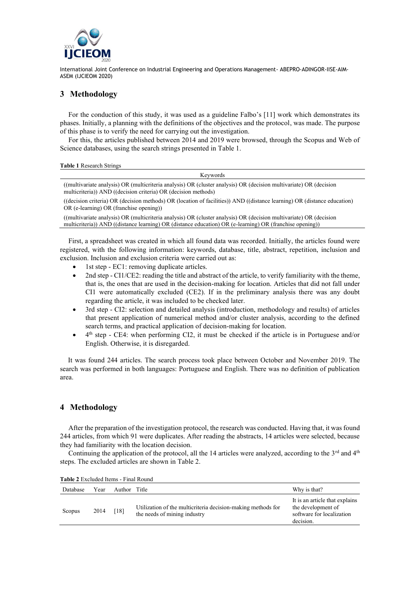

# **3 Methodology**

For the conduction of this study, it was used as a guideline Falbo's [11] work which demonstrates its phases. Initially, a planning with the definitions of the objectives and the protocol, was made. The purpose of this phase is to verify the need for carrying out the investigation.

For this, the articles published between 2014 and 2019 were browsed, through the Scopus and Web of Science databases, using the search strings presented in Table 1.

|  | Table 1 Research Strings |  |
|--|--------------------------|--|
|  |                          |  |

| $\alpha$ ult 1 Research Builles                                                                                                                                                      |
|--------------------------------------------------------------------------------------------------------------------------------------------------------------------------------------|
| Kevwords                                                                                                                                                                             |
| ((multivariate analysis) OR (multicriteria analysis) OR (cluster analysis) OR (decision multivariate) OR (decision<br>multicriteria)) AND ((decision criteria) OR (decision methods) |
| ((decision criteria) OR (decision methods) OR (location of facilities)) AND ((distance learning) OR (distance education)<br>$OR$ (e-learning) OR (franchise opening))                |
|                                                                                                                                                                                      |

((multivariate analysis) OR (multicriteria analysis) OR (cluster analysis) OR (decision multivariate) OR (decision multicriteria)) AND ((distance learning) OR (distance education) OR (e-learning) OR (franchise opening))

First, a spreadsheet was created in which all found data was recorded. Initially, the articles found were registered, with the following information: keywords, database, title, abstract, repetition, inclusion and exclusion. Inclusion and exclusion criteria were carried out as:

- 1st step EC1: removing duplicate articles.
- 2nd step CI1/CE2: reading the title and abstract of the article, to verify familiarity with the theme, that is, the ones that are used in the decision-making for location. Articles that did not fall under CI1 were automatically excluded (CE2). If in the preliminary analysis there was any doubt regarding the article, it was included to be checked later.
- 3rd step CI2: selection and detailed analysis (introduction, methodology and results) of articles that present application of numerical method and/or cluster analysis, according to the defined search terms, and practical application of decision-making for location.
- $\bullet$  4<sup>th</sup> step CE4: when performing CI2, it must be checked if the article is in Portuguese and/or English. Otherwise, it is disregarded.

It was found 244 articles. The search process took place between October and November 2019. The search was performed in both languages: Portuguese and English. There was no definition of publication area.

# **4 Methodology**

After the preparation of the investigation protocol, the research was conducted. Having that, it was found 244 articles, from which 91 were duplicates. After reading the abstracts, 14 articles were selected, because they had familiarity with the location decision.

Continuing the application of the protocol, all the 14 articles were analyzed, according to the  $3^{rd}$  and  $4^{th}$ steps. The excluded articles are shown in Table 2.

| Database | Year | Author Title |                                                                                              | Why is that?                                                                                   |
|----------|------|--------------|----------------------------------------------------------------------------------------------|------------------------------------------------------------------------------------------------|
| Scopus   | 2014 | [18]         | Utilization of the multicriteria decision-making methods for<br>the needs of mining industry | It is an article that explains<br>the development of<br>software for localization<br>decision. |

**Table 2** Excluded Items - Final Round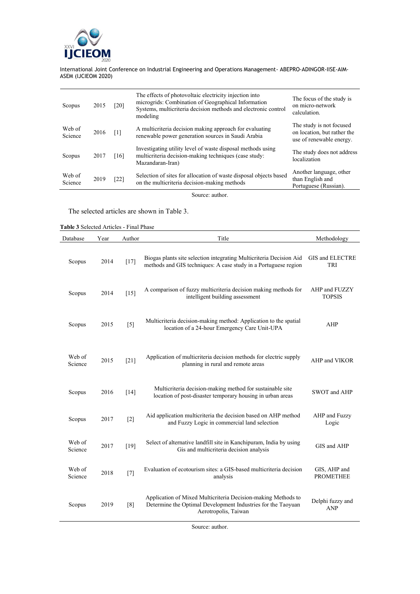

| Scopus            | 2015 | [20]              | The effects of photovoltaic electricity injection into<br>microgrids: Combination of Geographical Information<br>Systems, multicriteria decision methods and electronic control<br>modeling | The focus of the study is<br>on micro-network<br>calculation.                       |
|-------------------|------|-------------------|---------------------------------------------------------------------------------------------------------------------------------------------------------------------------------------------|-------------------------------------------------------------------------------------|
| Web of<br>Science | 2016 | $\lceil 1 \rceil$ | A multicriteria decision making approach for evaluating<br>renewable power generation sources in Saudi Arabia                                                                               | The study is not focused<br>on location, but rather the<br>use of renewable energy. |
| Scopus            | 2017 | [16]              | Investigating utility level of waste disposal methods using<br>multicriteria decision-making techniques (case study:<br>Mazandaran-Iran)                                                    | The study does not address<br>localization                                          |
| Web of<br>Science | 2019 | [22]              | Selection of sites for allocation of waste disposal objects based<br>on the multicriteria decision-making methods                                                                           | Another language, other<br>than English and<br>Portuguese (Russian).                |

Source: author.

The selected articles are shown in Table 3.

**Table 3** Selected Articles - Final Phase

| Database          | Year | Author | Title                                                                                                                                                 | Methodology                      |
|-------------------|------|--------|-------------------------------------------------------------------------------------------------------------------------------------------------------|----------------------------------|
| Scopus            | 2014 | $[17]$ | Biogas plants site selection integrating Multicriteria Decision Aid<br>methods and GIS techniques: A case study in a Portuguese region                | GIS and ELECTRE<br>TRI           |
| Scopus            | 2014 | $[15]$ | A comparison of fuzzy multicriteria decision making methods for<br>intelligent building assessment                                                    | AHP and FUZZY<br><b>TOPSIS</b>   |
| Scopus            | 2015 | $[5]$  | Multicriteria decision-making method: Application to the spatial<br>location of a 24-hour Emergency Care Unit-UPA                                     | AHP                              |
| Web of<br>Science | 2015 | [21]   | Application of multicriteria decision methods for electric supply<br>planning in rural and remote areas                                               | AHP and VIKOR                    |
| Scopus            | 2016 | [14]   | Multicriteria decision-making method for sustainable site<br>location of post-disaster temporary housing in urban areas                               | SWOT and AHP                     |
| Scopus            | 2017 | $[2]$  | Aid application multicriteria the decision based on AHP method<br>and Fuzzy Logic in commercial land selection                                        | AHP and Fuzzy<br>Logic           |
| Web of<br>Science | 2017 | $[19]$ | Select of alternative landfill site in Kanchipuram, India by using<br>Gis and multicriteria decision analysis                                         | GIS and AHP                      |
| Web of<br>Science | 2018 | $[7]$  | Evaluation of ecotourism sites: a GIS-based multicriteria decision<br>analysis                                                                        | GIS, AHP and<br><b>PROMETHEE</b> |
| Scopus            | 2019 | [8]    | Application of Mixed Multicriteria Decision-making Methods to<br>Determine the Optimal Development Industries for the Taoyuan<br>Aerotropolis, Taiwan | Delphi fuzzy and<br><b>ANP</b>   |

Source: author.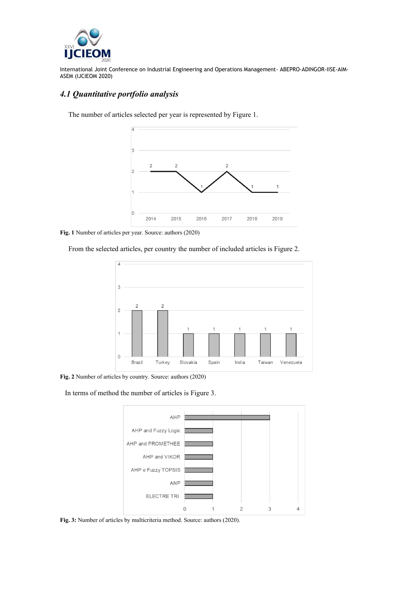

# *4.1 Quantitative portfolio analysis*



The number of articles selected per year is represented by Figure 1.

**Fig. 1** Number of articles per year. Source: authors (2020)

From the selected articles, per country the number of included articles is Figure 2.



**Fig. 2** Number of articles by country. Source: authors (2020)

In terms of method the number of articles is Figure 3.



**Fig. 3:** Number of articles by multicriteria method. Source: authors (2020).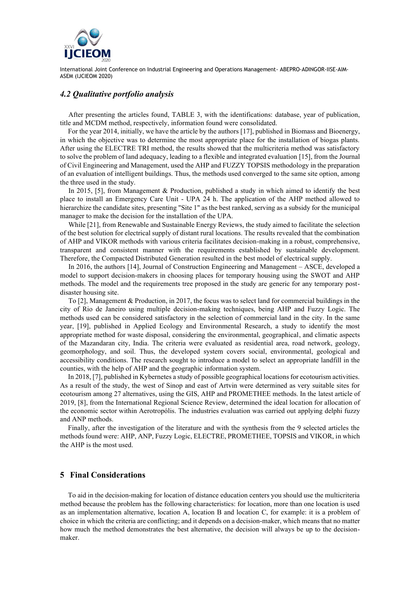

## *4.2 Qualitative portfolio analysis*

After presenting the articles found, TABLE 3, with the identifications: database, year of publication, title and MCDM method, respectively, information found were consolidated.

For the year 2014, initially, we have the article by the authors [17], published in Biomass and Bioenergy, in which the objective was to determine the most appropriate place for the installation of biogas plants. After using the ELECTRE TRI method, the results showed that the multicriteria method was satisfactory to solve the problem of land adequacy, leading to a flexible and integrated evaluation [15], from the Journal of Civil Engineering and Management, used the AHP and FUZZY TOPSIS methodology in the preparation of an evaluation of intelligent buildings. Thus, the methods used converged to the same site option, among the three used in the study.

In 2015, [5], from Management & Production, published a study in which aimed to identify the best place to install an Emergency Care Unit - UPA 24 h. The application of the AHP method allowed to hierarchize the candidate sites, presenting "Site 1" as the best ranked, serving as a subsidy for the municipal manager to make the decision for the installation of the UPA.

While [21], from Renewable and Sustainable Energy Reviews, the study aimed to facilitate the selection of the best solution for electrical supply of distant rural locations. The results revealed that the combination of AHP and VIKOR methods with various criteria facilitates decision-making in a robust, comprehensive, transparent and consistent manner with the requirements established by sustainable development. Therefore, the Compacted Distributed Generation resulted in the best model of electrical supply.

In 2016, the authors [14], Journal of Construction Engineering and Management – ASCE, developed a model to support decision-makers in choosing places for temporary housing using the SWOT and AHP methods. The model and the requirements tree proposed in the study are generic for any temporary postdisaster housing site.

To [2], Management & Production, in 2017, the focus was to select land for commercial buildings in the city of Rio de Janeiro using multiple decision-making techniques, being AHP and Fuzzy Logic. The methods used can be considered satisfactory in the selection of commercial land in the city. In the same year, [19], published in Applied Ecology and Environmental Research, a study to identify the most appropriate method for waste disposal, considering the environmental, geographical, and climatic aspects of the Mazandaran city, India. The criteria were evaluated as residential area, road network, geology, geomorphology, and soil. Thus, the developed system covers social, environmental, geological and accessibility conditions. The research sought to introduce a model to select an appropriate landfill in the counties, with the help of AHP and the geographic information system.

In 2018, [7], published in Kybernetes a study of possible geographical locations for ecotourism activities. As a result of the study, the west of Sinop and east of Artvin were determined as very suitable sites for ecotourism among 27 alternatives, using the GIS, AHP and PROMETHEE methods. In the latest article of 2019, [8], from the International Regional Science Review, determined the ideal location for allocation of the economic sector within Aerotropólis. The industries evaluation was carried out applying delphi fuzzy and ANP methods.

Finally, after the investigation of the literature and with the synthesis from the 9 selected articles the methods found were: AHP, ANP, Fuzzy Logic, ELECTRE, PROMETHEE, TOPSIS and VIKOR, in which the AHP is the most used.

## **5 Final Considerations**

To aid in the decision-making for location of distance education centers you should use the multicriteria method because the problem has the following characteristics: for location, more than one location is used as an implementation alternative, location A, location B and location C, for example: it is a problem of choice in which the criteria are conflicting; and it depends on a decision-maker, which means that no matter how much the method demonstrates the best alternative, the decision will always be up to the decisionmaker.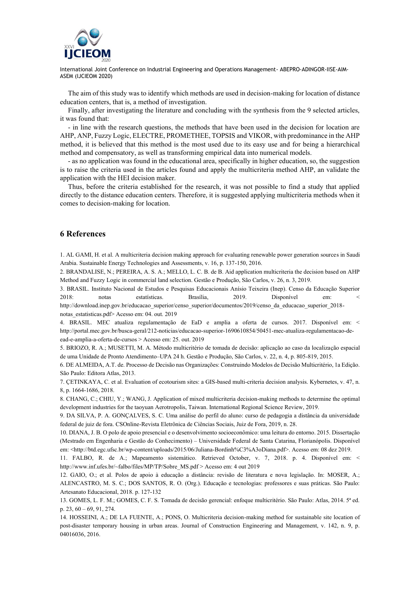

The aim of this study was to identify which methods are used in decision-making for location of distance education centers, that is, a method of investigation.

Finally, after investigating the literature and concluding with the synthesis from the 9 selected articles, it was found that:

- in line with the research questions, the methods that have been used in the decision for location are AHP, ANP, Fuzzy Logic, ELECTRE, PROMETHEE, TOPSIS and VIKOR, with predominance in the AHP method, it is believed that this method is the most used due to its easy use and for being a hierarchical method and compensatory, as well as transforming empirical data into numerical models.

- as no application was found in the educational area, specifically in higher education, so, the suggestion is to raise the criteria used in the articles found and apply the multicriteria method AHP, an validate the application with the HEI decision maker.

Thus, before the criteria established for the research, it was not possible to find a study that applied directly to the distance education centers. Therefore, it is suggested applying multicriteria methods when it comes to decision-making for location.

#### **6 References**

1. AL GAMI, H. et al. A multicriteria decision making approach for evaluating renewable power generation sources in Saudi Arabia. Sustainable Energy Technologies and Assessments, v. 16, p. 137-150, 2016.

2. BRANDALISE, N.; PEREIRA, A. S. A.; MELLO, L. C. B. de B. Aid application multicriteria the decision based on AHP Method and Fuzzy Logic in commercial land selection. Gestão e Produção, São Carlos, v. 26, n. 3, 2019.

3. BRASIL. Instituto Nacional de Estudos e Pesquisas Educacionais Anísio Teixeira (Inep). Censo da Educação Superior 2018: notas estatísticas. Brasília, 2019. Disponível em: <

http://download.inep.gov.br/educacao\_superior/censo\_superior/documentos/2019/censo\_da\_educacao\_superior\_2018 notas\_estatisticas.pdf> Acesso em: 04. out. 2019

4. BRASIL. MEC atualiza regulamentação de EaD e amplia a oferta de cursos. 2017. Disponível em: < http://portal.mec.gov.br/busca-geral/212-noticias/educacao-superior-1690610854/50451-mec-atualiza-regulamentacao-deead-e-amplia-a-oferta-de-cursos > Acesso em: 25. out. 2019

5. BRIOZO, R. A.; MUSETTI, M. A. Método multicritério de tomada de decisão: aplicação ao caso da localização espacial de uma Unidade de Pronto Atendimento–UPA 24 h. Gestão e Produção, São Carlos, v. 22, n. 4, p. 805-819, 2015.

6. DE ALMEIDA, A.T. de. Processo de Decisão nas Organizações: Construindo Modelos de Decisão Multicritério, 1a Edição. São Paulo: Editora Atlas, 2013.

7. ÇETINKAYA, C. et al. Evaluation of ecotourism sites: a GIS-based multi-criteria decision analysis. Kybernetes, v. 47, n. 8, p. 1664-1686, 2018.

8. CHANG, C.; CHIU, Y.; WANG, J. Application of mixed multicriteria decision-making methods to determine the optimal development industries for the taoyuan Aerotropolis, Taiwan. International Regional Science Review, 2019.

9. DA SILVA, P. A. GONÇALVES, S. C. Uma análise do perfil do aluno: curso de pedagogia a distância da universidade federal de juiz de fora. CSOnline-Revista Eletrônica de Ciências Sociais, Juiz de Fora, 2019, n. 28.

10. DIANA, J. B. O polo de apoio presencial e o desenvolvimento socioeconômico: uma leitura do entorno. 2015. Dissertação (Mestrado em Engenharia e Gestão do Conhecimento) – Universidade Federal de Santa Catarina, Florianópolis. Disponível em: <http://btd.egc.ufsc.br/wp-content/uploads/2015/06/Juliana-Bordinh%C3%A3oDiana.pdf>. Acesso em: 08 dez 2019.

11. FALBO, R. de A.; Mapeamento sistemático. Retrieved October, v. 7, 2018. p. 4. Disponível em: < http://www.inf.ufes.br/~falbo/files/MP/TP/Sobre\_MS.pdf > Acesso em: 4 out 2019

12. GAIO, O.; et al. Polos de apoio à educação a distância: revisão de literatura e nova legislação. In: MOSER, A.; ALENCASTRO, M. S. C.; DOS SANTOS, R. O. (Org.). Educação e tecnologias: professores e suas práticas. São Paulo: Artesanato Educacional, 2018. p. 127-132

13. GOMES, L. F. M.; GOMES, C. F. S. Tomada de decisão gerencial: enfoque multicritério. São Paulo: Atlas, 2014. 5ª ed. p. 23, 60 – 69, 91, 274.

14. HOSSEINI, A.; DE LA FUENTE, A.; PONS, O. Multicriteria decision-making method for sustainable site location of post-disaster temporary housing in urban areas. Journal of Construction Engineering and Management, v. 142, n. 9, p. 04016036, 2016.